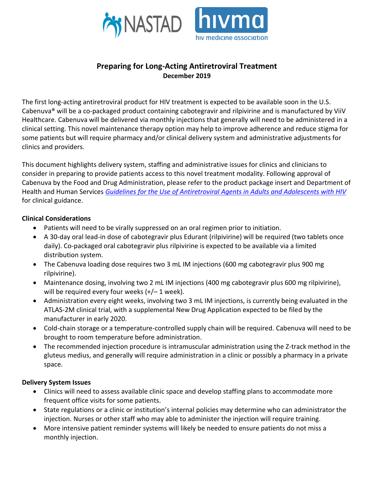

# **Preparing for Long-Acting Antiretroviral Treatment December 2019**

The first long-acting antiretroviral product for HIV treatment is expected to be available soon in the U.S. Cabenuva® will be a co-packaged product containing cabotegravir and rilpivirine and is manufactured by ViiV Healthcare. Cabenuva will be delivered via monthly injections that generally will need to be administered in a clinical setting. This novel maintenance therapy option may help to improve adherence and reduce stigma for some patients but will require pharmacy and/or clinical delivery system and administrative adjustments for clinics and providers.

This document highlights delivery system, staffing and administrative issues for clinics and clinicians to consider in preparing to provide patients access to this novel treatment modality. Following approval of Cabenuva by the Food and Drug Administration, please refer to the product package insert and Department of Health and Human Services *[Guidelines for the Use of Antiretroviral Agents in Adults and Adolescents with HIV](https://aidsinfo.nih.gov/guidelines/html/1/adult-and-adolescent-arv/0)* for clinical guidance.

### **Clinical Considerations**

- Patients will need to be virally suppressed on an oral regimen prior to initiation.
- A 30-day oral lead-in dose of cabotegravir plus Edurant (rilpivirine) will be required (two tablets once daily). Co-packaged oral cabotegravir plus rilpivirine is expected to be available via a limited distribution system.
- The Cabenuva loading dose requires two 3 mL IM injections (600 mg cabotegravir plus 900 mg rilpivirine).
- Maintenance dosing, involving two 2 mL IM injections (400 mg cabotegravir plus 600 mg rilpivirine), will be required every four weeks (+/- 1 week).
- Administration every eight weeks, involving two 3 mL IM injections, is currently being evaluated in the ATLAS-2M clinical trial, with a supplemental New Drug Application expected to be filed by the manufacturer in early 2020.
- Cold-chain storage or a temperature-controlled supply chain will be required. Cabenuva will need to be brought to room temperature before administration.
- The recommended injection procedure is intramuscular administration using the Z-track method in the gluteus medius, and generally will require administration in a clinic or possibly a pharmacy in a private space.

#### **Delivery System Issues**

- Clinics will need to assess available clinic space and develop staffing plans to accommodate more frequent office visits for some patients.
- State regulations or a clinic or institution's internal policies may determine who can administrator the injection. Nurses or other staff who may able to administer the injection will require training.
- More intensive patient reminder systems will likely be needed to ensure patients do not miss a monthly injection.